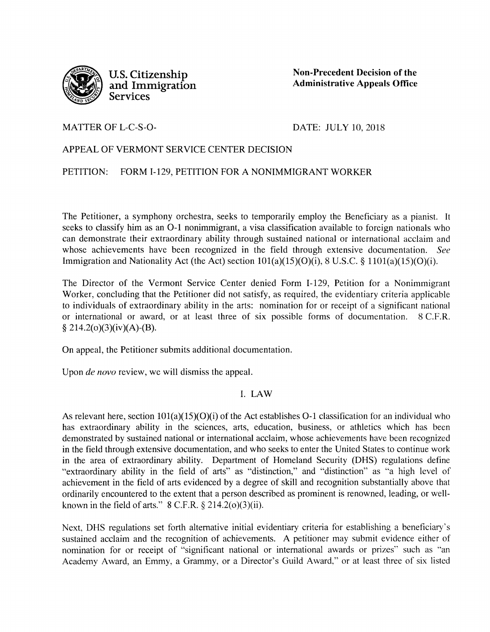

**U.S. Citizenship and Immigration Services** 

**Non-Precedent Decision of the Administrative Appeals Office** 

MATTER OF L-C-S-O-

DATE: JULY 10, 2018

# APPEAL OF VERMONT SERVICE CENTER DECISION

PETITION: FORM 1-129, PETITION FOR A NONIMMIGRANT WORKER

The Petitioner, a symphony orchestra, seeks to temporarily employ the Beneficiary as a pianist. It seeks to classify him as an 0-1 nonimmigrant, a visa classification available to foreign nationals who can demonstrate their extraordinary ability through sustained national or international acclaim and whose achievements have been recognized in the field through extensive documentation. *See*  Immigration and Nationality Act (the Act) section  $101(a)(15)(O)(i)$ , 8 U.S.C. §  $1101(a)(15)(O)(i)$ .

The Director of the Vermont Service Center denied Form I-129, Petition for a Nonimmigrant Worker, concluding that the Petitioner did not satisfy, as required, the evidentiary criteria applicable to individuals of extraordinary ability in the arts: nomination for or receipt of a significant national or international or award, or at least three of six possible forms of documentation. 8 C.F.R. § 214.2(o)(3)(iv)(A)-(B).

On appeal, the Petitioner submits additional documentation.

Upon *de novo* review, we will dismiss the appeal.

I. LAW

As relevant here, section 101(a)(15)(O)(i) of the Act establishes 0-1 classification for an individual who has extraordinary ability in the sciences, arts, education, business, or athletics which has been demonstrated by sustained national or international acclaim, whose achievements have been recognized in the field through extensive documentation, and who seeks to enter the United States to continue work in the area of extraordinary ability. Department of Homeland Security (DHS) regulations define "extraordinary ability in the field of arts" as "distinction," and "distinction" as "a high level of achievement in the field of arts evidenced by a degree of skill and recognition substantially above that ordinarily encountered to the extent that a person described as prominent is renowned, leading, or wellknown in the field of arts."  $8$  C.F.R.  $\S$  214.2(o)(3)(ii).

Next, DHS regulations set forth alternative initial evidentiary criteria for establishing a beneficiary's sustained acclaim and the recognition of achievements. A petitioner may submit evidence either of nomination for or receipt of "significant national or international awards or prizes" such as "an Academy Award, an Emmy, a Grammy, or a Director's Guild Award," or at least three of six listed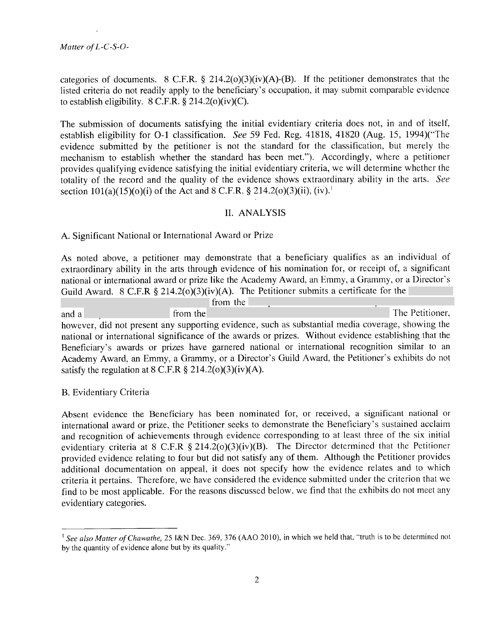.

categories of documents. 8 C.F.R. § 214.2(o)(3)(iv)(A)-(B). If the petitioner demonstrates that the listed criteria do not readily apply to the beneficiary's occupation, it may submit comparable evidence to establish eligibility.  $8 \text{ C.F.R.}$   $\frac{8}{9}$  214.2(o)(iv)(C).

The submission of documents satisfying the initial evidentiary criteria does not, in and of itself, establish eligibility for 0-1 classification. *See* 59 Fed. Reg. 41818, 41820 (Aug. 15, 1994)("The evidence submitted by the petitioner is not the standard for the classification, but merely the mechanism to establish whether the standard has been met."). Accordingly, where a petitioner provides qualifying evidence satisfying the initial evidentiary criteria, we will determine whether the totality of the record and the quality of the evidence shows extraordinary ability in the arts. *See*  section  $101(a)(15)(o)(i)$  of the Act and 8 C.F.R. § 214.2( $o(3)(ii)$ , (iv).<sup>1</sup>

### II. ANALYSIS

#### A. Significant National or International Award or Prize

As noted above, a petitioner may demonstrate that a beneficiary qualifies as an individual of extraordinary ability in the arts through evidence of his nomination for, or receipt of, a significant national or international award or prize like the Academy Award, an Emmy, a Grammy, or a Director's Guild Award. 8 C.F.R § 214.2(o)(3)(iv)(A). The Petitioner submits a certificate for the

from the and a from the The Petitioner, however, did not present any supporting evidence, such as substantial media coverage, showing the national or international significance of the awards or prizes. Without evidence establishing that the Beneficiary's awards or prizes have garnered national or international recognition similar to an Academy Award, an Emmy, a Grammy, or a Director's Guild Award, the Petitioner's exhibits do not satisfy the regulation at  $8 \text{ C.F.R } \frac{6}{5} \cdot 214.2(0)(3)(iv)(A)$ .

#### B. Evidentiary Criteria

Absent evidence the Beneficiary has been nominated for, or received, a significant national or international award or prize, the Petitioner seeks to demonstrate the Beneficiary's sustained acclaim and recognition of achievements through evidence corresponding to at least three of the six initial evidentiary criteria at 8 C.F.R § 214.2(o)(3)(iv)(B). The Director determined that the Petitioner provided evidence relating to four but did not satisfy any of them. Although the Petitioner provides additional documentation on appeal, it does not specify how the evidence relates and to which criteria it pertains. Therefore, we have considered the evidence submitted under the criterion that we find to be most applicable. For the reasons discussed below, we find that the exhibits do not meet any evidentiary categories.

<sup>&</sup>lt;sup>1</sup> See also Matter of Chawathe, 25 I&N Dec. 369, 376 (AAO 2010), in which we held that, "truth is to be determined not by the quantity of evidence alone but by its quality."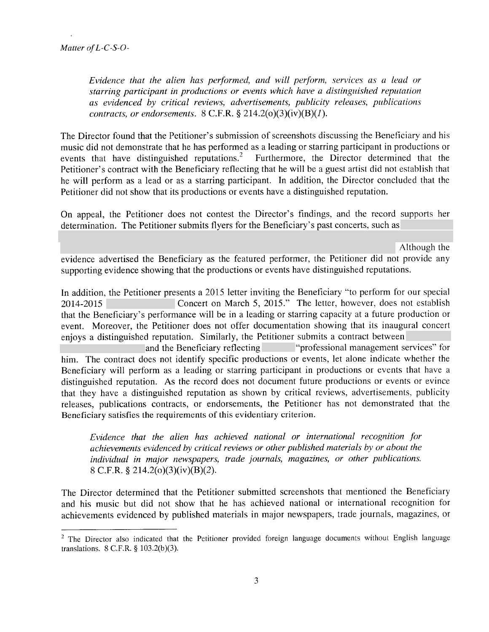.

*Evidence that the alien has performed, and will perform, services as a lead or starring participant in productions or events which have a distinguished reputation as evidenced by critical reviews, advertisements, publicity releases, publications contracts, or endorsements.* 8 C.F.R. § 214.2(o)(3)(iv)(B)(J).

The Director found that the Petitioner's submission of screenshots discussing the Beneficiary and his music did not demonstrate that he has performed as a leading or starring participant in productions or events that have distinguished reputations.<sup>2</sup> Furthermore, the Director determined that the Petitioner's contract with the Beneficiary reflecting that he will be a guest artist did not establish that he will perform as a lead or as a starring participant. In addition, the Director concluded that the Petitioner did not show that its productions or events have a distinguished reputation.

On appeal, the Petitioner does not contest the Director's findings, and the record supports her determination. The Petitioner submits flyers for the Beneficiary's past concerts, such as

Although the

evidence advertised the Beneficiary as the featured performer, the Petitioner did not provide any supporting evidence showing that the productions or events have distinguished reputations.

In addition, the Petitioner presents a 2015 letter inviting the Beneficiary "to perform for our special 2014-2015 Concert on March 5, 2015." The letter, however, does not establish that the Beneficiary's performance will be in a leading or starring capacity at a future production or event. Moreover, the Petitioner does not offer documentation showing that its inaugural concert enjoys a distinguished reputation. Similarly, the Petitioner submits a contract between

and the Beneficiary reflecting "professional management services" for him. The contract does not identify specific productions or events, let alone indicate whether the Beneficiary will perform as a leading or starring participant in productions or events that have a distinguished reputation. As the record does not document future productions or events or evince that they have a distinguished reputation as shown by critical reviews, advertisements, publicity releases, publications contracts, or endorsements, the Petitioner has not demonstrated that the Beneficiary satisfies the requirements of this evidentiary criterion.

*Evidence that the alien has achieved national or international recognition for achievements evidenced by critical reviews or other published materials by or about the individual in major newspapers, trade journals, magazines, or other publications.*  8 C.F.R. § 214.2(o)(3)(iv)(B)(2).

The Director determined that the Petitioner submitted screenshots that mentioned the Beneficiary and his music but did not show that he has achieved national or international recognition for achievements evidenced by published materials in major newspapers, trade journals, magazines, or

<sup>&</sup>lt;sup>2</sup> The Director also indicated that the Petitioner provided foreign language documents without English language translations. 8 C.F.R. § 103.2(b)(3).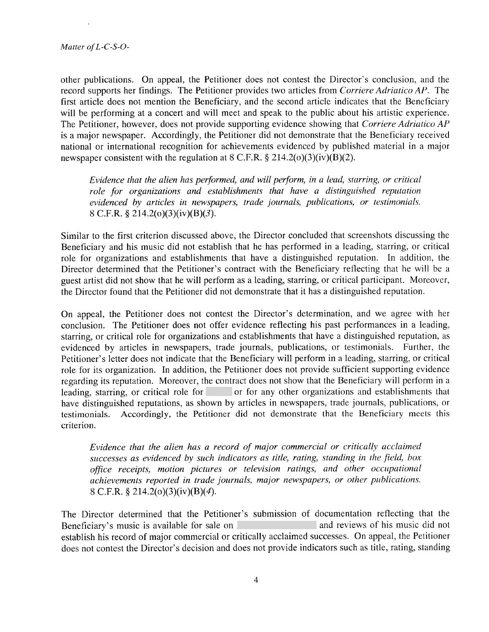.

other publications. On appeal, the Petitioner does not contest the Director's conclusion, and the record supports her findings. The Petitioner provides two articles from *Corriere Adriatico AP.* The first article does not mention the Beneficiary, and the second article indicates that the Beneficiary will be performing at a concert and will meet and speak to the public about his artistic experience. The Petitioner, however, does not provide supporting evidence showing that *Corriere Adriatico AP*  is a major newspaper. Accordingly, the Petitioner did not demonstrate that the Beneficiary received national or international recognition for achievements evidenced by published material in a major newspaper consistent with the regulation at  $8$  C.F.R.  $\S$  214.2(o)(3)(iv)(B)(2).

*Evidence that the alien has performed, and will perform, in a lead, starring, or critical role for organizations and establishments that have a distinguished reputation evidenced by articles in newspapers, trade journals, publications, or testimonials.* 8 C.F.R. § 214.2(o)(3)(iv)(B)(3).

Similar to the first criterion discussed above, the Director concluded that screenshots discussing the Beneficiary and his music did not establish that he has performed in a leading, starring, or critical role for organizations and establishments that have a distinguished reputation. In addition, the Director determined that the Petitioner's contract with the Beneficiary reflecting that he will be a guest artist did not show that he will perform as a leading, starring, or critical participant. Moreover, the Director found that the Petitioner did not demonstrate that it has a distinguished reputation.

On appeal, the Petitioner does not contest the Director's determination, and we agree with her conclusion. The Petitioner does not offer evidence reflecting his past performances in a leading, starring, or critical role for organizations and establishments that have a distinguished reputation, as evidenced by articles in newspapers, trade journals, publications, or testimonials. Further, the Petitioner's letter does not indicate that the Beneficiary will perform in a leading, starring, or critical role for its organization. In addition, the Petitioner does not provide sufficient supporting evidence regarding its reputation. Moreover, the contract does not show that the Beneficiary will perform in <sup>a</sup> leading, starring, or critical role for or for any other organizations and establishments that have distinguished reputations, as shown by articles in newspapers, trade journals, publications, or testimonials. Accordingly, the Petitioner did not demonstrate that the Beneficiary meets this criterion.

*Evidence that the alien has a record of major commercial or critically acclaimed successes as evidenced by such indicators as title, rating, standing in the field, box office receipts, motion pictures or television ratings, and other occupational achievements reported in trade journals, major newspapers, or other publications.*  8 C.F.R. § 214.2(o)(3)(iv)(B)(4).

The Director determined that the Petitioner's submission of documentation reflecting that the Beneficiary's music is available for sale on. **All and reviews of his music did not** establish his record of major commercial or critically acclaimed successes. On appeal, the Petitioner does not contest the Director's decision and does not provide indicators such as title, rating, standing